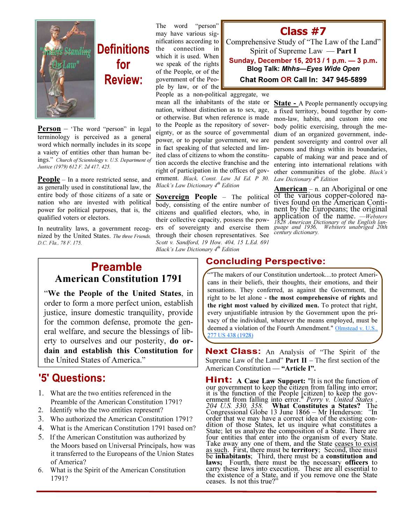

# **Definitions** for **Review:**

**Person** – 'The word "person" in legal terminology is perceived as a general word which normally includes in its scope a vaiety of entities other than human beings." Church of Scientology v. U.S. Department of Justice (1979) 612 F. 2d 417, 425.

**People** – In a more restricted sense, and as generally used in constitutional law, the entire body of those citizens of a sate or nation who are invested with political power for political purposes, that is, the qualified voters or electors.

In neutrality laws, a government recognized by the United States. The three Friends, D.C. Fla., 78 F. 175.

The word "person" may have various significations according to the connection in which it is used. When we speak of the rights of the People, or of the government of the People by law, or of the

People as a non-political aggregate, we

mean all the inhabitants of the state or nation, without distinction as to sex, age, or otherwise. But when reference is made to the People as the repository of sovereignty, or as the source of governmental power, or to popular government, we are in fact speaking of that selected and limited class of citizens to whom the constitution accords the elective franchise and the right of participation in the offices of government. Black, Const. Law 3d Ed. P 30. Black's Law Dictionary 4<sup>th</sup> Edition

Sovereign People – The political body, consisting of the entire number of citizens and qualified electors, who, in their collective capacity, possess the powers of sovereignty and exercise them through their chosen representatives. See Scott v. Sandford, 19 How. 404, 15 L.Ed. 691 Black's Law Dictionary  $4<sup>th</sup>$  Edition

#### Class #7

Comprehensive Study of "The Law of the Land" Spirit of Supreme Law — Part I Sunday, December 15, 2013 / 1 p,m. — 3 p.m. Blog Talk: Mhhs—Eyes Wide Open Chat Room OR Call In: 347 945-5899

> State - A People permanently occupying a fixed territory, bound together by common-law, habits, and custom into one body politic exercising, through the medium of an organized government, independent sovereignty and control over all persons and things within its boundaries, capable of making war and peace and of entering into international relations with other communities of the globe. Black's Law Dictionary  $4<sup>th</sup>$  Edition

> American – n. an Aboriginal or one of the various copper-colored natives found on the American Continent by the Europeans; the original application of the name. —Websters 1828 American Dictionary of the English lan-guage and 1936, Websters unabriged 20th century dictionary.

#### **Preamble** American Constitution 1791

"We the People of the United States, in order to form a more perfect union, establish justice, insure domestic tranquility, provide for the common defense, promote the general welfare, and secure the blessings of liberty to ourselves and our posterity, do ordain and establish this Constitution for the United States of America."

### '5' Questions:

- 1. What are the two entities referenced in the Preamble of the American Constitution 1791?
- 2. Identify who the two entities represent?
- 3. Who authorized the American Constitution 1791?
- 4. What is the American Constitution 1791 based on?
- 5. If the American Constitution was authorized by the Moors based on Universal Principals, how was it transferred to the Europeans of the Union States of America?
- 6. What is the Spirit of the American Constitution 1791?

#### **Concluding Perspective:**

""The makers of our Constitution undertook....to protect Americans in their beliefs, their thoughts, their emotions, and their sensations. They conferred, as against the Government, the right to be let alone - the most comprehensive of rights and the right most valued by civilized men. To protect that right, every unjustifiable intrusion by the Government upon the privacy of the individual, whatever the means employed, must be deemed a violation of the Fourth Amendment." Olmstead v. U.S., 277 US 438 (1928)

Next Class: An Analysis of "The Spirit of the Supreme Law of the Land" **Part II** – The first section of the American Constitution — "Article I".

**HINT:** A Case Law Support: "It is not the function of our government to keep the citizen from falling into error; it is the function of the People [citizen] to keep the government from falling into error." Perry v. United States, 204 U.S. 330, 358. What Constitutes a States? The Congressional Globe 13 June 1866 – Mr Henderson: "In order that we may have a correct idea of the existing condition of those States, let us inquire what constitutes a State; let us analyze the composition of a State. There are four entities that enter into the organism of every State. Take away any one of them, and the State ceases to exist as such. First, there must be **territory**; Second, thee must be inhabitants; Third, there must be a constitution and laws: Fourth, there must be the necessary officers to carry these laws into execution. These are all essential to the existence of a State, and if you remove one the State ceases. Is not this true?